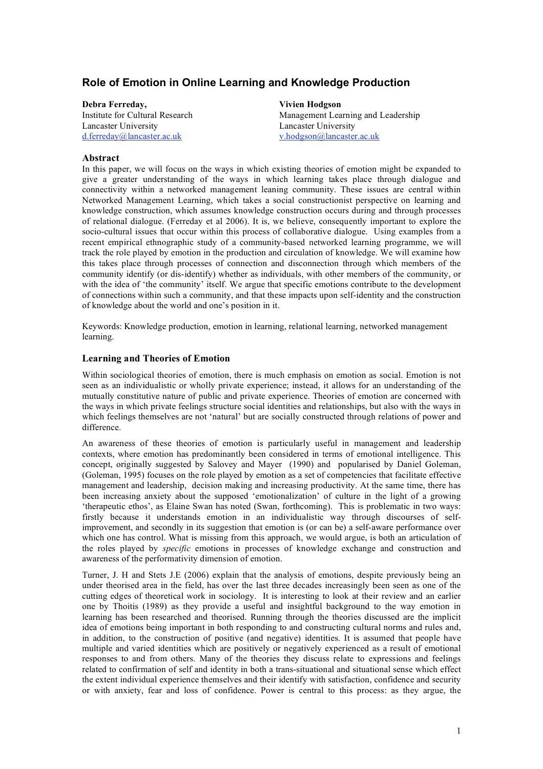# **Role of Emotion in Online Learning and Knowledge Production**

**Debra Ferreday, Vivien Hodgson** Lancaster University Lancaster University d.ferreday@lancaster.ac.uk v.hodgson@lancaster.ac.uk

Institute for Cultural Research Management Learning and Leadership

## **Abstract**

In this paper, we will focus on the ways in which existing theories of emotion might be expanded to give a greater understanding of the ways in which learning takes place through dialogue and connectivity within a networked management leaning community. These issues are central within Networked Management Learning, which takes a social constructionist perspective on learning and knowledge construction, which assumes knowledge construction occurs during and through processes of relational dialogue. (Ferreday et al 2006). It is, we believe, consequently important to explore the socio-cultural issues that occur within this process of collaborative dialogue. Using examples from a recent empirical ethnographic study of a community-based networked learning programme, we will track the role played by emotion in the production and circulation of knowledge. We will examine how this takes place through processes of connection and disconnection through which members of the community identify (or dis-identify) whether as individuals, with other members of the community, or with the idea of 'the community' itself. We argue that specific emotions contribute to the development of connections within such a community, and that these impacts upon self-identity and the construction of knowledge about the world and one's position in it.

Keywords: Knowledge production, emotion in learning, relational learning, networked management learning.

### **Learning and Theories of Emotion**

Within sociological theories of emotion, there is much emphasis on emotion as social. Emotion is not seen as an individualistic or wholly private experience; instead, it allows for an understanding of the mutually constitutive nature of public and private experience. Theories of emotion are concerned with the ways in which private feelings structure social identities and relationships, but also with the ways in which feelings themselves are not 'natural' but are socially constructed through relations of power and difference.

An awareness of these theories of emotion is particularly useful in management and leadership contexts, where emotion has predominantly been considered in terms of emotional intelligence. This concept, originally suggested by Salovey and Mayer (1990) and popularised by Daniel Goleman, (Goleman, 1995) focuses on the role played by emotion as a set of competencies that facilitate effective management and leadership, decision making and increasing productivity. At the same time, there has been increasing anxiety about the supposed 'emotionalization' of culture in the light of a growing 'therapeutic ethos', as Elaine Swan has noted (Swan, forthcoming). This is problematic in two ways: firstly because it understands emotion in an individualistic way through discourses of selfimprovement, and secondly in its suggestion that emotion is (or can be) a self-aware performance over which one has control. What is missing from this approach, we would argue, is both an articulation of the roles played by *specific* emotions in processes of knowledge exchange and construction and awareness of the performativity dimension of emotion.

Turner, J. H and Stets J.E (2006) explain that the analysis of emotions, despite previously being an under theorised area in the field, has over the last three decades increasingly been seen as one of the cutting edges of theoretical work in sociology. It is interesting to look at their review and an earlier one by Thoitis (1989) as they provide a useful and insightful background to the way emotion in learning has been researched and theorised. Running through the theories discussed are the implicit idea of emotions being important in both responding to and constructing cultural norms and rules and, in addition, to the construction of positive (and negative) identities. It is assumed that people have multiple and varied identities which are positively or negatively experienced as a result of emotional responses to and from others. Many of the theories they discuss relate to expressions and feelings related to confirmation of self and identity in both a trans-situational and situational sense which effect the extent individual experience themselves and their identify with satisfaction, confidence and security or with anxiety, fear and loss of confidence. Power is central to this process: as they argue, the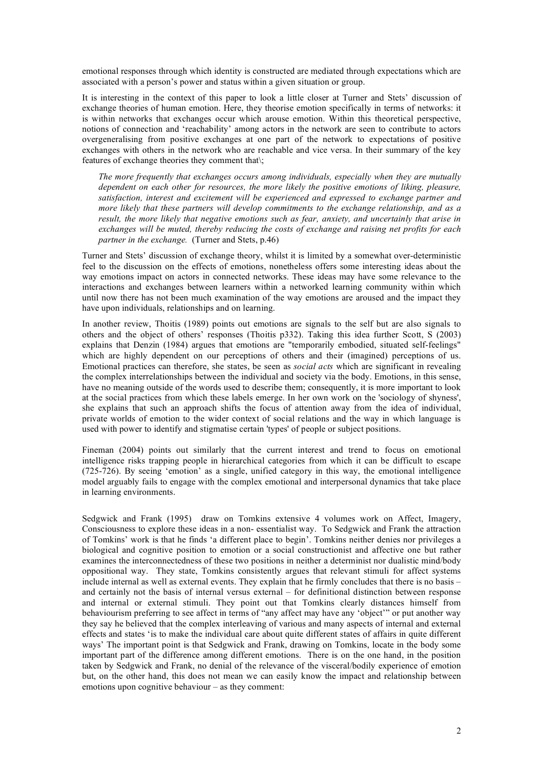emotional responses through which identity is constructed are mediated through expectations which are associated with a person's power and status within a given situation or group.

It is interesting in the context of this paper to look a little closer at Turner and Stets' discussion of exchange theories of human emotion. Here, they theorise emotion specifically in terms of networks: it is within networks that exchanges occur which arouse emotion. Within this theoretical perspective, notions of connection and 'reachability' among actors in the network are seen to contribute to actors overgeneralising from positive exchanges at one part of the network to expectations of positive exchanges with others in the network who are reachable and vice versa. In their summary of the key features of exchange theories they comment that.

*The more frequently that exchanges occurs among individuals, especially when they are mutually dependent on each other for resources, the more likely the positive emotions of liking, pleasure, satisfaction, interest and excitement will be experienced and expressed to exchange partner and more likely that these partners will develop commitments to the exchange relationship, and as a result, the more likely that negative emotions such as fear, anxiety, and uncertainly that arise in exchanges will be muted, thereby reducing the costs of exchange and raising net profits for each partner in the exchange.* (Turner and Stets, p.46)

Turner and Stets' discussion of exchange theory, whilst it is limited by a somewhat over-deterministic feel to the discussion on the effects of emotions, nonetheless offers some interesting ideas about the way emotions impact on actors in connected networks. These ideas may have some relevance to the interactions and exchanges between learners within a networked learning community within which until now there has not been much examination of the way emotions are aroused and the impact they have upon individuals, relationships and on learning.

In another review, Thoitis (1989) points out emotions are signals to the self but are also signals to others and the object of others' responses (Thoitis p332). Taking this idea further Scott, S (2003) explains that Denzin (1984) argues that emotions are "temporarily embodied, situated self-feelings" which are highly dependent on our perceptions of others and their (imagined) perceptions of us. Emotional practices can therefore, she states, be seen as *social acts* which are significant in revealing the complex interrelationships between the individual and society via the body. Emotions, in this sense, have no meaning outside of the words used to describe them; consequently, it is more important to look at the social practices from which these labels emerge. In her own work on the 'sociology of shyness', she explains that such an approach shifts the focus of attention away from the idea of individual, private worlds of emotion to the wider context of social relations and the way in which language is used with power to identify and stigmatise certain 'types' of people or subject positions.

Fineman (2004) points out similarly that the current interest and trend to focus on emotional intelligence risks trapping people in hierarchical categories from which it can be difficult to escape (725-726). By seeing 'emotion' as a single, unified category in this way, the emotional intelligence model arguably fails to engage with the complex emotional and interpersonal dynamics that take place in learning environments.

Sedgwick and Frank (1995) draw on Tomkins extensive 4 volumes work on Affect, Imagery, Consciousness to explore these ideas in a non- essentialist way. To Sedgwick and Frank the attraction of Tomkins' work is that he finds 'a different place to begin'. Tomkins neither denies nor privileges a biological and cognitive position to emotion or a social constructionist and affective one but rather examines the interconnectedness of these two positions in neither a determinist nor dualistic mind/body oppositional way. They state, Tomkins consistently argues that relevant stimuli for affect systems include internal as well as external events. They explain that he firmly concludes that there is no basis – and certainly not the basis of internal versus external – for definitional distinction between response and internal or external stimuli. They point out that Tomkins clearly distances himself from behaviourism preferring to see affect in terms of "any affect may have any 'object'" or put another way they say he believed that the complex interleaving of various and many aspects of internal and external effects and states 'is to make the individual care about quite different states of affairs in quite different ways' The important point is that Sedgwick and Frank, drawing on Tomkins, locate in the body some important part of the difference among different emotions. There is on the one hand, in the position taken by Sedgwick and Frank, no denial of the relevance of the visceral/bodily experience of emotion but, on the other hand, this does not mean we can easily know the impact and relationship between emotions upon cognitive behaviour – as they comment: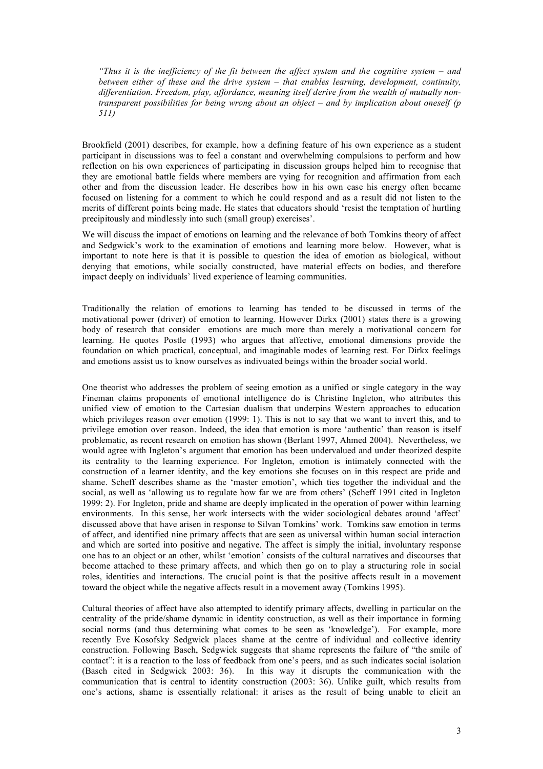*"Thus it is the inefficiency of the fit between the affect system and the cognitive system – and between either of these and the drive system – that enables learning, development, continuity, differentiation. Freedom, play, affordance, meaning itself derive from the wealth of mutually nontransparent possibilities for being wrong about an object – and by implication about oneself (p 511)*

Brookfield (2001) describes, for example, how a defining feature of his own experience as a student participant in discussions was to feel a constant and overwhelming compulsions to perform and how reflection on his own experiences of participating in discussion groups helped him to recognise that they are emotional battle fields where members are vying for recognition and affirmation from each other and from the discussion leader. He describes how in his own case his energy often became focused on listening for a comment to which he could respond and as a result did not listen to the merits of different points being made. He states that educators should 'resist the temptation of hurtling precipitously and mindlessly into such (small group) exercises'.

We will discuss the impact of emotions on learning and the relevance of both Tomkins theory of affect and Sedgwick's work to the examination of emotions and learning more below. However, what is important to note here is that it is possible to question the idea of emotion as biological, without denying that emotions, while socially constructed, have material effects on bodies, and therefore impact deeply on individuals' lived experience of learning communities.

Traditionally the relation of emotions to learning has tended to be discussed in terms of the motivational power (driver) of emotion to learning. However Dirkx (2001) states there is a growing body of research that consider emotions are much more than merely a motivational concern for learning. He quotes Postle (1993) who argues that affective, emotional dimensions provide the foundation on which practical, conceptual, and imaginable modes of learning rest. For Dirkx feelings and emotions assist us to know ourselves as indivuated beings within the broader social world.

One theorist who addresses the problem of seeing emotion as a unified or single category in the way Fineman claims proponents of emotional intelligence do is Christine Ingleton, who attributes this unified view of emotion to the Cartesian dualism that underpins Western approaches to education which privileges reason over emotion (1999: 1). This is not to say that we want to invert this, and to privilege emotion over reason. Indeed, the idea that emotion is more 'authentic' than reason is itself problematic, as recent research on emotion has shown (Berlant 1997, Ahmed 2004). Nevertheless, we would agree with Ingleton's argument that emotion has been undervalued and under theorized despite its centrality to the learning experience. For Ingleton, emotion is intimately connected with the construction of a learner identity, and the key emotions she focuses on in this respect are pride and shame. Scheff describes shame as the 'master emotion', which ties together the individual and the social, as well as 'allowing us to regulate how far we are from others' (Scheff 1991 cited in Ingleton 1999: 2). For Ingleton, pride and shame are deeply implicated in the operation of power within learning environments. In this sense, her work intersects with the wider sociological debates around 'affect' discussed above that have arisen in response to Silvan Tomkins' work. Tomkins saw emotion in terms of affect, and identified nine primary affects that are seen as universal within human social interaction and which are sorted into positive and negative. The affect is simply the initial, involuntary response one has to an object or an other, whilst 'emotion' consists of the cultural narratives and discourses that become attached to these primary affects, and which then go on to play a structuring role in social roles, identities and interactions. The crucial point is that the positive affects result in a movement toward the object while the negative affects result in a movement away (Tomkins 1995).

Cultural theories of affect have also attempted to identify primary affects, dwelling in particular on the centrality of the pride/shame dynamic in identity construction, as well as their importance in forming social norms (and thus determining what comes to be seen as 'knowledge'). For example, more recently Eve Kosofsky Sedgwick places shame at the centre of individual and collective identity construction. Following Basch, Sedgwick suggests that shame represents the failure of "the smile of contact": it is a reaction to the loss of feedback from one's peers, and as such indicates social isolation (Basch cited in Sedgwick 2003: 36). In this way it disrupts the communication with the communication that is central to identity construction (2003: 36). Unlike guilt, which results from one's actions, shame is essentially relational: it arises as the result of being unable to elicit an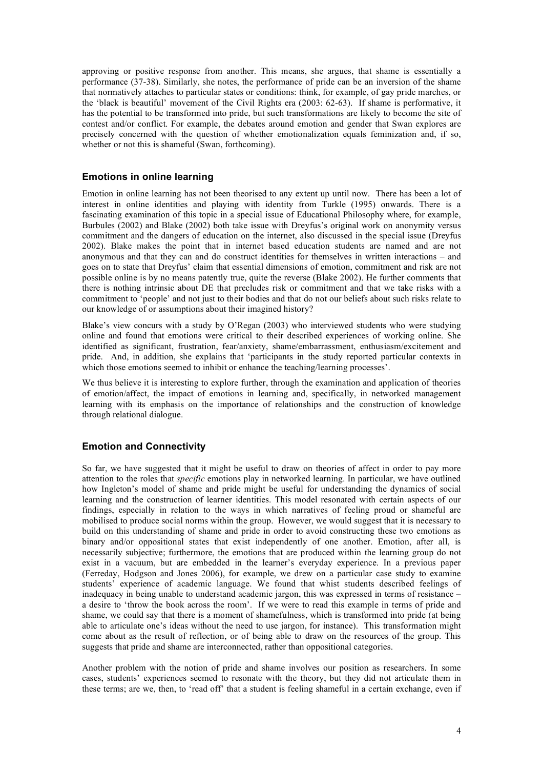approving or positive response from another. This means, she argues, that shame is essentially a performance (37-38). Similarly, she notes, the performance of pride can be an inversion of the shame that normatively attaches to particular states or conditions: think, for example, of gay pride marches, or the 'black is beautiful' movement of the Civil Rights era (2003: 62-63). If shame is performative, it has the potential to be transformed into pride, but such transformations are likely to become the site of contest and/or conflict. For example, the debates around emotion and gender that Swan explores are precisely concerned with the question of whether emotionalization equals feminization and, if so, whether or not this is shameful (Swan, forthcoming).

# **Emotions in online learning**

Emotion in online learning has not been theorised to any extent up until now. There has been a lot of interest in online identities and playing with identity from Turkle (1995) onwards. There is a fascinating examination of this topic in a special issue of Educational Philosophy where, for example, Burbules (2002) and Blake (2002) both take issue with Dreyfus's original work on anonymity versus commitment and the dangers of education on the internet, also discussed in the special issue (Dreyfus 2002). Blake makes the point that in internet based education students are named and are not anonymous and that they can and do construct identities for themselves in written interactions – and goes on to state that Dreyfus' claim that essential dimensions of emotion, commitment and risk are not possible online is by no means patently true, quite the reverse (Blake 2002). He further comments that there is nothing intrinsic about DE that precludes risk or commitment and that we take risks with a commitment to 'people' and not just to their bodies and that do not our beliefs about such risks relate to our knowledge of or assumptions about their imagined history?

Blake's view concurs with a study by O'Regan (2003) who interviewed students who were studying online and found that emotions were critical to their described experiences of working online. She identified as significant, frustration, fear/anxiety, shame/embarrassment, enthusiasm/excitement and pride. And, in addition, she explains that 'participants in the study reported particular contexts in which those emotions seemed to inhibit or enhance the teaching/learning processes'.

We thus believe it is interesting to explore further, through the examination and application of theories of emotion/affect, the impact of emotions in learning and, specifically, in networked management learning with its emphasis on the importance of relationships and the construction of knowledge through relational dialogue.

# **Emotion and Connectivity**

So far, we have suggested that it might be useful to draw on theories of affect in order to pay more attention to the roles that *specific* emotions play in networked learning. In particular, we have outlined how Ingleton's model of shame and pride might be useful for understanding the dynamics of social learning and the construction of learner identities. This model resonated with certain aspects of our findings, especially in relation to the ways in which narratives of feeling proud or shameful are mobilised to produce social norms within the group. However, we would suggest that it is necessary to build on this understanding of shame and pride in order to avoid constructing these two emotions as binary and/or oppositional states that exist independently of one another. Emotion, after all, is necessarily subjective; furthermore, the emotions that are produced within the learning group do not exist in a vacuum, but are embedded in the learner's everyday experience. In a previous paper (Ferreday, Hodgson and Jones 2006), for example, we drew on a particular case study to examine students' experience of academic language. We found that whist students described feelings of inadequacy in being unable to understand academic jargon, this was expressed in terms of resistance – a desire to 'throw the book across the room'. If we were to read this example in terms of pride and shame, we could say that there is a moment of shamefulness, which is transformed into pride (at being able to articulate one's ideas without the need to use jargon, for instance). This transformation might come about as the result of reflection, or of being able to draw on the resources of the group. This suggests that pride and shame are interconnected, rather than oppositional categories.

Another problem with the notion of pride and shame involves our position as researchers. In some cases, students' experiences seemed to resonate with the theory, but they did not articulate them in these terms; are we, then, to 'read off' that a student is feeling shameful in a certain exchange, even if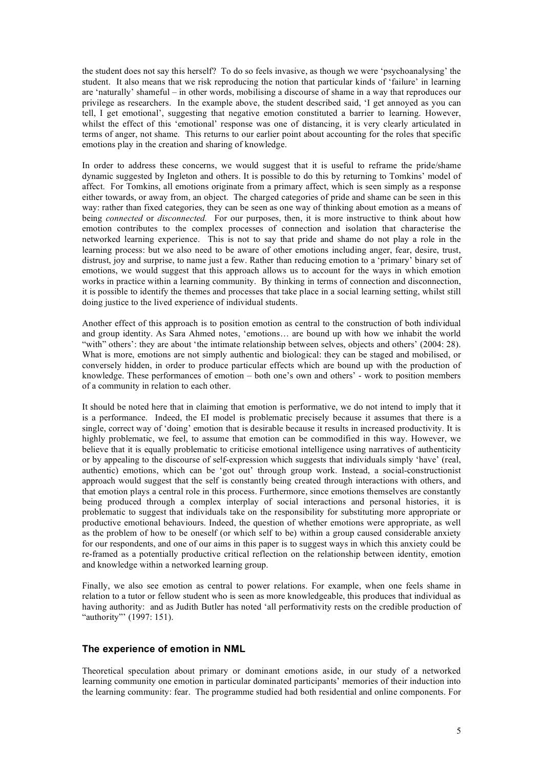the student does not say this herself? To do so feels invasive, as though we were 'psychoanalysing' the student. It also means that we risk reproducing the notion that particular kinds of 'failure' in learning are 'naturally' shameful – in other words, mobilising a discourse of shame in a way that reproduces our privilege as researchers. In the example above, the student described said, 'I get annoyed as you can tell, I get emotional', suggesting that negative emotion constituted a barrier to learning. However, whilst the effect of this 'emotional' response was one of distancing, it is very clearly articulated in terms of anger, not shame. This returns to our earlier point about accounting for the roles that specific emotions play in the creation and sharing of knowledge.

In order to address these concerns, we would suggest that it is useful to reframe the pride/shame dynamic suggested by Ingleton and others. It is possible to do this by returning to Tomkins' model of affect. For Tomkins, all emotions originate from a primary affect, which is seen simply as a response either towards, or away from, an object. The charged categories of pride and shame can be seen in this way: rather than fixed categories, they can be seen as one way of thinking about emotion as a means of being *connected* or *disconnected.* For our purposes, then, it is more instructive to think about how emotion contributes to the complex processes of connection and isolation that characterise the networked learning experience. This is not to say that pride and shame do not play a role in the learning process: but we also need to be aware of other emotions including anger, fear, desire, trust, distrust, joy and surprise, to name just a few. Rather than reducing emotion to a 'primary' binary set of emotions, we would suggest that this approach allows us to account for the ways in which emotion works in practice within a learning community. By thinking in terms of connection and disconnection, it is possible to identify the themes and processes that take place in a social learning setting, whilst still doing justice to the lived experience of individual students.

Another effect of this approach is to position emotion as central to the construction of both individual and group identity. As Sara Ahmed notes, 'emotions… are bound up with how we inhabit the world "with" others': they are about 'the intimate relationship between selves, objects and others' (2004: 28). What is more, emotions are not simply authentic and biological: they can be staged and mobilised, or conversely hidden, in order to produce particular effects which are bound up with the production of knowledge. These performances of emotion – both one's own and others' - work to position members of a community in relation to each other.

It should be noted here that in claiming that emotion is performative, we do not intend to imply that it is a performance. Indeed, the EI model is problematic precisely because it assumes that there is a single, correct way of 'doing' emotion that is desirable because it results in increased productivity. It is highly problematic, we feel, to assume that emotion can be commodified in this way. However, we believe that it is equally problematic to criticise emotional intelligence using narratives of authenticity or by appealing to the discourse of self-expression which suggests that individuals simply 'have' (real, authentic) emotions, which can be 'got out' through group work. Instead, a social-constructionist approach would suggest that the self is constantly being created through interactions with others, and that emotion plays a central role in this process. Furthermore, since emotions themselves are constantly being produced through a complex interplay of social interactions and personal histories, it is problematic to suggest that individuals take on the responsibility for substituting more appropriate or productive emotional behaviours. Indeed, the question of whether emotions were appropriate, as well as the problem of how to be oneself (or which self to be) within a group caused considerable anxiety for our respondents, and one of our aims in this paper is to suggest ways in which this anxiety could be re-framed as a potentially productive critical reflection on the relationship between identity, emotion and knowledge within a networked learning group.

Finally, we also see emotion as central to power relations. For example, when one feels shame in relation to a tutor or fellow student who is seen as more knowledgeable, this produces that individual as having authority: and as Judith Butler has noted 'all performativity rests on the credible production of "authority"' (1997: 151).

# **The experience of emotion in NML**

Theoretical speculation about primary or dominant emotions aside, in our study of a networked learning community one emotion in particular dominated participants' memories of their induction into the learning community: fear. The programme studied had both residential and online components. For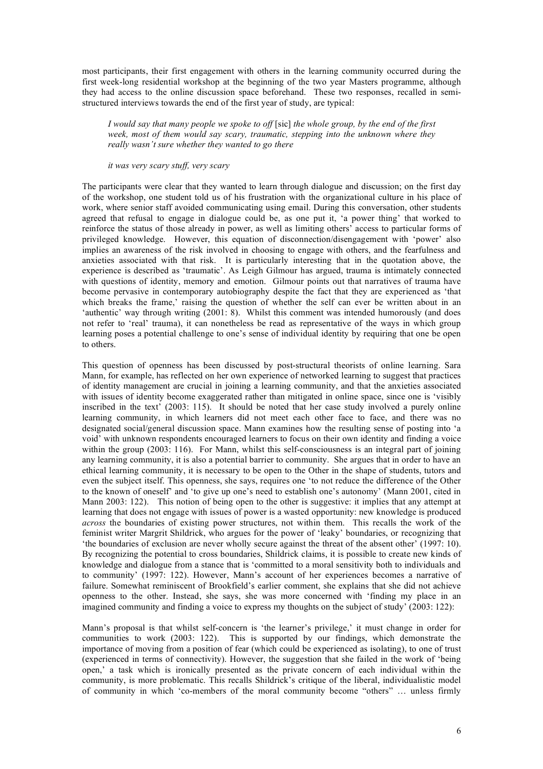most participants, their first engagement with others in the learning community occurred during the first week-long residential workshop at the beginning of the two year Masters programme, although they had access to the online discussion space beforehand. These two responses, recalled in semistructured interviews towards the end of the first year of study, are typical:

*I would say that many people we spoke to off* [sic] *the whole group, by the end of the first week, most of them would say scary, traumatic, stepping into the unknown where they really wasn't sure whether they wanted to go there*

*it was very scary stuff, very scary*

The participants were clear that they wanted to learn through dialogue and discussion; on the first day of the workshop, one student told us of his frustration with the organizational culture in his place of work, where senior staff avoided communicating using email. During this conversation, other students agreed that refusal to engage in dialogue could be, as one put it, 'a power thing' that worked to reinforce the status of those already in power, as well as limiting others' access to particular forms of privileged knowledge. However, this equation of disconnection/disengagement with 'power' also implies an awareness of the risk involved in choosing to engage with others, and the fearfulness and anxieties associated with that risk. It is particularly interesting that in the quotation above, the experience is described as 'traumatic'. As Leigh Gilmour has argued, trauma is intimately connected with questions of identity, memory and emotion. Gilmour points out that narratives of trauma have become pervasive in contemporary autobiography despite the fact that they are experienced as 'that which breaks the frame,' raising the question of whether the self can ever be written about in an 'authentic' way through writing (2001: 8). Whilst this comment was intended humorously (and does not refer to 'real' trauma), it can nonetheless be read as representative of the ways in which group learning poses a potential challenge to one's sense of individual identity by requiring that one be open to others.

This question of openness has been discussed by post-structural theorists of online learning. Sara Mann, for example, has reflected on her own experience of networked learning to suggest that practices of identity management are crucial in joining a learning community, and that the anxieties associated with issues of identity become exaggerated rather than mitigated in online space, since one is 'visibly inscribed in the text' (2003: 115). It should be noted that her case study involved a purely online learning community, in which learners did not meet each other face to face, and there was no designated social/general discussion space. Mann examines how the resulting sense of posting into 'a void' with unknown respondents encouraged learners to focus on their own identity and finding a voice within the group (2003: 116). For Mann, whilst this self-consciousness is an integral part of joining any learning community, it is also a potential barrier to community. She argues that in order to have an ethical learning community, it is necessary to be open to the Other in the shape of students, tutors and even the subject itself. This openness, she says, requires one 'to not reduce the difference of the Other to the known of oneself' and 'to give up one's need to establish one's autonomy' (Mann 2001, cited in Mann 2003: 122). This notion of being open to the other is suggestive: it implies that any attempt at learning that does not engage with issues of power is a wasted opportunity: new knowledge is produced *across* the boundaries of existing power structures, not within them. This recalls the work of the feminist writer Margrit Shildrick, who argues for the power of 'leaky' boundaries, or recognizing that 'the boundaries of exclusion are never wholly secure against the threat of the absent other' (1997: 10). By recognizing the potential to cross boundaries, Shildrick claims, it is possible to create new kinds of knowledge and dialogue from a stance that is 'committed to a moral sensitivity both to individuals and to community' (1997: 122). However, Mann's account of her experiences becomes a narrative of failure. Somewhat reminiscent of Brookfield's earlier comment, she explains that she did not achieve openness to the other. Instead, she says, she was more concerned with 'finding my place in an imagined community and finding a voice to express my thoughts on the subject of study' (2003: 122):

Mann's proposal is that whilst self-concern is 'the learner's privilege,' it must change in order for communities to work (2003: 122). This is supported by our findings, which demonstrate the importance of moving from a position of fear (which could be experienced as isolating), to one of trust (experienced in terms of connectivity). However, the suggestion that she failed in the work of 'being open,' a task which is ironically presented as the private concern of each individual within the community, is more problematic. This recalls Shildrick's critique of the liberal, individualistic model of community in which 'co-members of the moral community become "others" … unless firmly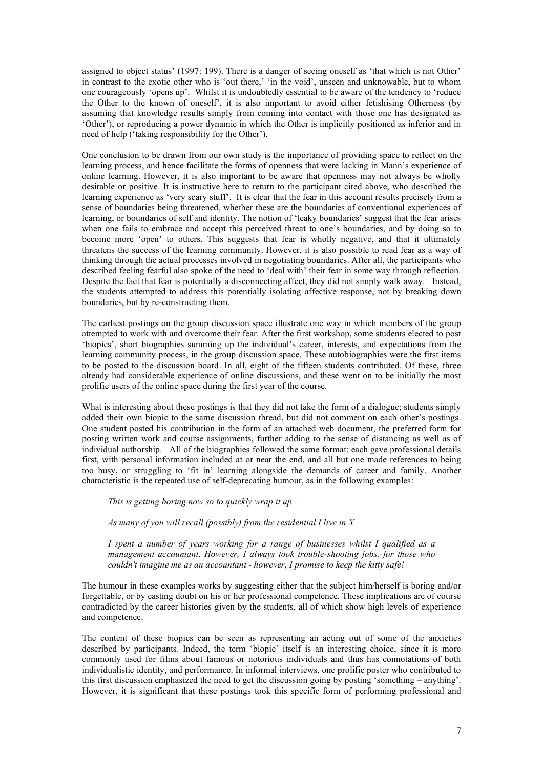assigned to object status' (1997: 199). There is a danger of seeing oneself as 'that which is not Other' in contrast to the exotic other who is 'out there,' 'in the void', unseen and unknowable, but to whom one courageously 'opens up'. Whilst it is undoubtedly essential to be aware of the tendency to 'reduce the Other to the known of oneself', it is also important to avoid either fetishising Otherness (by assuming that knowledge results simply from coming into contact with those one has designated as 'Other'), or reproducing a power dynamic in which the Other is implicitly positioned as inferior and in need of help ('taking responsibility for the Other').

One conclusion to be drawn from our own study is the importance of providing space to reflect on the learning process, and hence facilitate the forms of openness that were lacking in Mann's experience of online learning. However, it is also important to be aware that openness may not always be wholly desirable or positive. It is instructive here to return to the participant cited above, who described the learning experience as 'very scary stuff'. It is clear that the fear in this account results precisely from a sense of boundaries being threatened, whether these are the boundaries of conventional experiences of learning, or boundaries of self and identity. The notion of 'leaky boundaries' suggest that the fear arises when one fails to embrace and accept this perceived threat to one's boundaries, and by doing so to become more 'open' to others. This suggests that fear is wholly negative, and that it ultimately threatens the success of the learning community. However, it is also possible to read fear as a way of thinking through the actual processes involved in negotiating boundaries. After all, the participants who described feeling fearful also spoke of the need to 'deal with' their fear in some way through reflection. Despite the fact that fear is potentially a disconnecting affect, they did not simply walk away. Instead, the students attempted to address this potentially isolating affective response, not by breaking down boundaries, but by re-constructing them.

The earliest postings on the group discussion space illustrate one way in which members of the group attempted to work with and overcome their fear. After the first workshop, some students elected to post 'biopics', short biographies summing up the individual's career, interests, and expectations from the learning community process, in the group discussion space. These autobiographies were the first items to be posted to the discussion board. In all, eight of the fifteen students contributed. Of these, three already had considerable experience of online discussions, and these went on to be initially the most prolific users of the online space during the first year of the course.

What is interesting about these postings is that they did not take the form of a dialogue; students simply added their own biopic to the same discussion thread, but did not comment on each other's postings. One student posted his contribution in the form of an attached web document, the preferred form for posting written work and course assignments, further adding to the sense of distancing as well as of individual authorship. All of the biographies followed the same format: each gave professional details first, with personal information included at or near the end, and all but one made references to being too busy, or struggling to 'fit in' learning alongside the demands of career and family. Another characteristic is the repeated use of self-deprecating humour, as in the following examples:

*This is getting boring now so to quickly wrap it up...*

*As many of you will recall (possibly) from the residential I live in X*

*I spent a number of years working for a range of businesses whilst I qualified as a management accountant. However, I always took trouble-shooting jobs, for those who couldn't imagine me as an accountant - however, I promise to keep the kitty safe!*

The humour in these examples works by suggesting either that the subject him/herself is boring and/or forgettable, or by casting doubt on his or her professional competence. These implications are of course contradicted by the career histories given by the students, all of which show high levels of experience and competence.

The content of these biopics can be seen as representing an acting out of some of the anxieties described by participants. Indeed, the term 'biopic' itself is an interesting choice, since it is more commonly used for films about famous or notorious individuals and thus has connotations of both individualistic identity, and performance. In informal interviews, one prolific poster who contributed to this first discussion emphasized the need to get the discussion going by posting 'something – anything'. However, it is significant that these postings took this specific form of performing professional and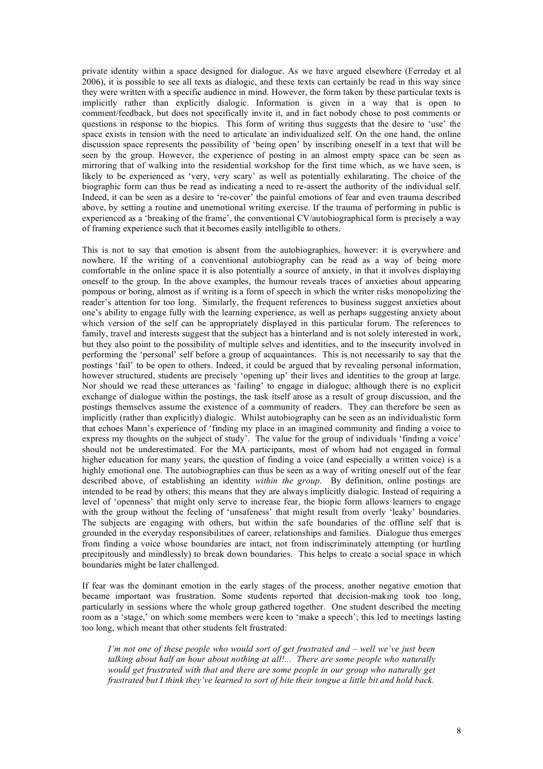private identity within a space designed for dialogue. As we have argued elsewhere (Ferreday et al 2006), it is possible to see all texts as dialogic, and these texts can certainly be read in this way since they were written with a specific audience in mind. However, the form taken by these particular texts is implicitly rather than explicitly dialogic. Information is given in a way that is open to comment/feedback, but does not specifically invite it, and in fact nobody chose to post comments or questions in response to the biopics. This form of writing thus suggests that the desire to 'use' the space exists in tension with the need to articulate an individualized self. On the one hand, the online discussion space represents the possibility of 'being open' by inscribing oneself in a text that will be seen by the group. However, the experience of posting in an almost empty space can be seen as mirroring that of walking into the residential workshop for the first time which, as we have seen, is likely to be experienced as 'very, very scary' as well as potentially exhilarating. The choice of the biographic form can thus be read as indicating a need to re-assert the authority of the individual self. Indeed, it can be seen as a desire to 're-cover' the painful emotions of fear and even trauma described above, by setting a routine and unemotional writing exercise. If the trauma of performing in public is experienced as a 'breaking of the frame', the conventional CV/autobiographical form is precisely a way of framing experience such that it becomes easily intelligible to others.

This is not to say that emotion is absent from the autobiographies, however: it is everywhere and nowhere. If the writing of a conventional autobiography can be read as a way of being more comfortable in the online space it is also potentially a source of anxiety, in that it involves displaying oneself to the group. In the above examples, the humour reveals traces of anxieties about appearing pompous or boring, almost as if writing is a form of speech in which the writer risks monopolizing the reader's attention for too long. Similarly, the frequent references to business suggest anxieties about one's ability to engage fully with the learning experience, as well as perhaps suggesting anxiety about which version of the self can be appropriately displayed in this particular forum. The references to family, travel and interests suggest that the subject has a hinterland and is not solely interested in work, but they also point to the possibility of multiple selves and identities, and to the insecurity involved in performing the 'personal' self before a group of acquaintances. This is not necessarily to say that the postings 'fail' to be open to others. Indeed, it could be argued that by revealing personal information, however structured, students are precisely 'opening up' their lives and identities to the group at large. Nor should we read these utterances as 'failing' to engage in dialogue; although there is no explicit exchange of dialogue within the postings, the task itself arose as a result of group discussion, and the postings themselves assume the existence of a community of readers. They can therefore be seen as implicitly (rather than explicitly) dialogic. Whilst autobiography can be seen as an individualistic form that echoes Mann's experience of 'finding my place in an imagined community and finding a voice to express my thoughts on the subject of study'. The value for the group of individuals 'finding a voice' should not be underestimated. For the MA participants, most of whom had not engaged in formal higher education for many years, the question of finding a voice (and especially a written voice) is a highly emotional one. The autobiographies can thus be seen as a way of writing oneself out of the fear described above, of establishing an identity *within the group*. By definition, online postings are intended to be read by others; this means that they are always implicitly dialogic. Instead of requiring a level of 'openness' that might only serve to increase fear, the biopic form allows learners to engage with the group without the feeling of 'unsafeness' that might result from overly 'leaky' boundaries. The subjects are engaging with others, but within the safe boundaries of the offline self that is grounded in the everyday responsibilities of career, relationships and families. Dialogue thus emerges from finding a voice whose boundaries are intact, not from indiscriminately attempting (or hurtling precipitously and mindlessly) to break down boundaries. This helps to create a social space in which boundaries might be later challenged.

If fear was the dominant emotion in the early stages of the process, another negative emotion that became important was frustration. Some students reported that decision-making took too long, particularly in sessions where the whole group gathered together. One student described the meeting room as a 'stage,' on which some members were keen to 'make a speech'; this led to meetings lasting too long, which meant that other students felt frustrated:

*I'm not one of these people who would sort of get frustrated and – well we've just been talking about half an hour about nothing at all!... There are some people who naturally would get frustrated with that and there are some people in our group who naturally get frustrated but I think they've learned to sort of bite their tongue a little bit and hold back.*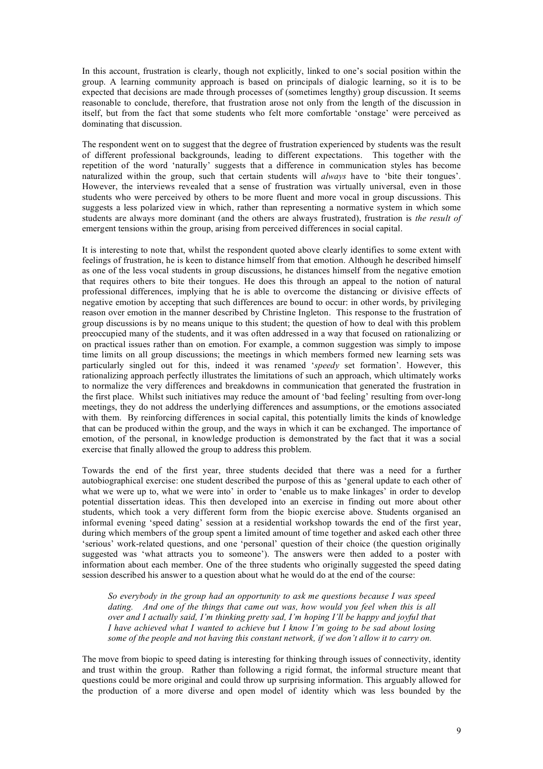In this account, frustration is clearly, though not explicitly, linked to one's social position within the group. A learning community approach is based on principals of dialogic learning, so it is to be expected that decisions are made through processes of (sometimes lengthy) group discussion. It seems reasonable to conclude, therefore, that frustration arose not only from the length of the discussion in itself, but from the fact that some students who felt more comfortable 'onstage' were perceived as dominating that discussion.

The respondent went on to suggest that the degree of frustration experienced by students was the result of different professional backgrounds, leading to different expectations. This together with the repetition of the word 'naturally' suggests that a difference in communication styles has become naturalized within the group, such that certain students will *always* have to 'bite their tongues'. However, the interviews revealed that a sense of frustration was virtually universal, even in those students who were perceived by others to be more fluent and more vocal in group discussions. This suggests a less polarized view in which, rather than representing a normative system in which some students are always more dominant (and the others are always frustrated), frustration is *the result of* emergent tensions within the group, arising from perceived differences in social capital.

It is interesting to note that, whilst the respondent quoted above clearly identifies to some extent with feelings of frustration, he is keen to distance himself from that emotion. Although he described himself as one of the less vocal students in group discussions, he distances himself from the negative emotion that requires others to bite their tongues. He does this through an appeal to the notion of natural professional differences, implying that he is able to overcome the distancing or divisive effects of negative emotion by accepting that such differences are bound to occur: in other words, by privileging reason over emotion in the manner described by Christine Ingleton. This response to the frustration of group discussions is by no means unique to this student; the question of how to deal with this problem preoccupied many of the students, and it was often addressed in a way that focused on rationalizing or on practical issues rather than on emotion. For example, a common suggestion was simply to impose time limits on all group discussions; the meetings in which members formed new learning sets was particularly singled out for this, indeed it was renamed '*speedy* set formation'. However, this rationalizing approach perfectly illustrates the limitations of such an approach, which ultimately works to normalize the very differences and breakdowns in communication that generated the frustration in the first place. Whilst such initiatives may reduce the amount of 'bad feeling' resulting from over-long meetings, they do not address the underlying differences and assumptions, or the emotions associated with them. By reinforcing differences in social capital, this potentially limits the kinds of knowledge that can be produced within the group, and the ways in which it can be exchanged. The importance of emotion, of the personal, in knowledge production is demonstrated by the fact that it was a social exercise that finally allowed the group to address this problem.

Towards the end of the first year, three students decided that there was a need for a further autobiographical exercise: one student described the purpose of this as 'general update to each other of what we were up to, what we were into' in order to 'enable us to make linkages' in order to develop potential dissertation ideas. This then developed into an exercise in finding out more about other students, which took a very different form from the biopic exercise above. Students organised an informal evening 'speed dating' session at a residential workshop towards the end of the first year, during which members of the group spent a limited amount of time together and asked each other three 'serious' work-related questions, and one 'personal' question of their choice (the question originally suggested was 'what attracts you to someone'). The answers were then added to a poster with information about each member. One of the three students who originally suggested the speed dating session described his answer to a question about what he would do at the end of the course:

*So everybody in the group had an opportunity to ask me questions because I was speed dating. And one of the things that came out was, how would you feel when this is all over and I actually said, I'm thinking pretty sad, I'm hoping I'll be happy and joyful that I have achieved what I wanted to achieve but I know I'm going to be sad about losing some of the people and not having this constant network, if we don't allow it to carry on.*

The move from biopic to speed dating is interesting for thinking through issues of connectivity, identity and trust within the group. Rather than following a rigid format, the informal structure meant that questions could be more original and could throw up surprising information. This arguably allowed for the production of a more diverse and open model of identity which was less bounded by the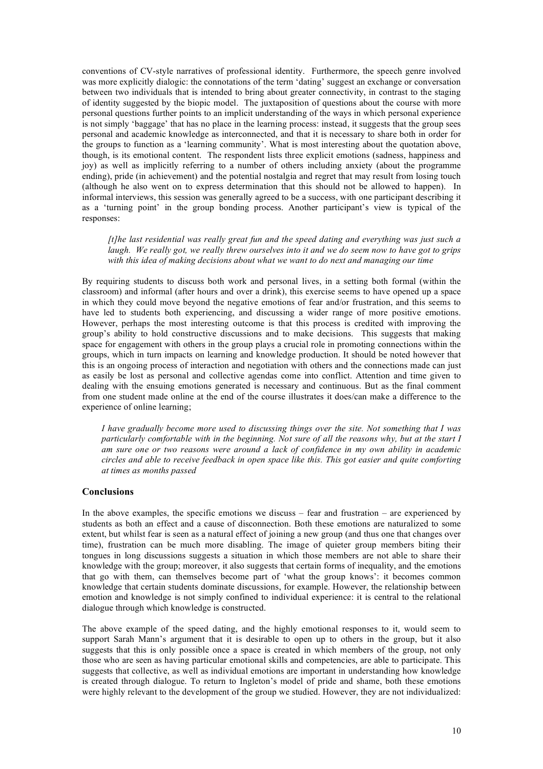conventions of CV-style narratives of professional identity. Furthermore, the speech genre involved was more explicitly dialogic: the connotations of the term 'dating' suggest an exchange or conversation between two individuals that is intended to bring about greater connectivity, in contrast to the staging of identity suggested by the biopic model. The juxtaposition of questions about the course with more personal questions further points to an implicit understanding of the ways in which personal experience is not simply 'baggage' that has no place in the learning process: instead, it suggests that the group sees personal and academic knowledge as interconnected, and that it is necessary to share both in order for the groups to function as a 'learning community'. What is most interesting about the quotation above, though, is its emotional content. The respondent lists three explicit emotions (sadness, happiness and joy) as well as implicitly referring to a number of others including anxiety (about the programme ending), pride (in achievement) and the potential nostalgia and regret that may result from losing touch (although he also went on to express determination that this should not be allowed to happen). In informal interviews, this session was generally agreed to be a success, with one participant describing it as a 'turning point' in the group bonding process. Another participant's view is typical of the responses:

*[t]he last residential was really great fun and the speed dating and everything was just such a* laugh. We really got, we really threw ourselves into it and we do seem now to have got to grips *with this idea of making decisions about what we want to do next and managing our time*

By requiring students to discuss both work and personal lives, in a setting both formal (within the classroom) and informal (after hours and over a drink), this exercise seems to have opened up a space in which they could move beyond the negative emotions of fear and/or frustration, and this seems to have led to students both experiencing, and discussing a wider range of more positive emotions. However, perhaps the most interesting outcome is that this process is credited with improving the group's ability to hold constructive discussions and to make decisions. This suggests that making space for engagement with others in the group plays a crucial role in promoting connections within the groups, which in turn impacts on learning and knowledge production. It should be noted however that this is an ongoing process of interaction and negotiation with others and the connections made can just as easily be lost as personal and collective agendas come into conflict. Attention and time given to dealing with the ensuing emotions generated is necessary and continuous. But as the final comment from one student made online at the end of the course illustrates it does/can make a difference to the experience of online learning;

*I have gradually become more used to discussing things over the site. Not something that I was* particularly comfortable with in the beginning. Not sure of all the reasons why, but at the start I *am sure one or two reasons were around a lack of confidence in my own ability in academic circles and able to receive feedback in open space like this. This got easier and quite comforting at times as months passed*

### **Conclusions**

In the above examples, the specific emotions we discuss – fear and frustration – are experienced by students as both an effect and a cause of disconnection. Both these emotions are naturalized to some extent, but whilst fear is seen as a natural effect of joining a new group (and thus one that changes over time), frustration can be much more disabling. The image of quieter group members biting their tongues in long discussions suggests a situation in which those members are not able to share their knowledge with the group; moreover, it also suggests that certain forms of inequality, and the emotions that go with them, can themselves become part of 'what the group knows': it becomes common knowledge that certain students dominate discussions, for example. However, the relationship between emotion and knowledge is not simply confined to individual experience: it is central to the relational dialogue through which knowledge is constructed.

The above example of the speed dating, and the highly emotional responses to it, would seem to support Sarah Mann's argument that it is desirable to open up to others in the group, but it also suggests that this is only possible once a space is created in which members of the group, not only those who are seen as having particular emotional skills and competencies, are able to participate. This suggests that collective, as well as individual emotions are important in understanding how knowledge is created through dialogue. To return to Ingleton's model of pride and shame, both these emotions were highly relevant to the development of the group we studied. However, they are not individualized: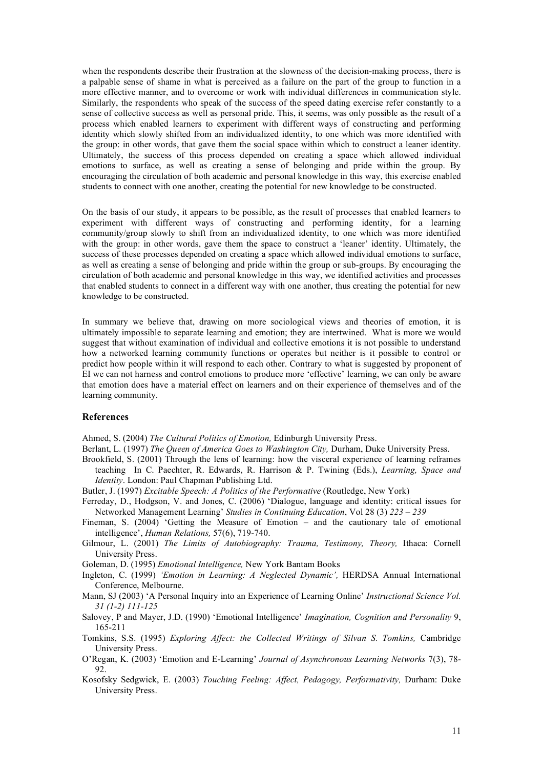when the respondents describe their frustration at the slowness of the decision-making process, there is a palpable sense of shame in what is perceived as a failure on the part of the group to function in a more effective manner, and to overcome or work with individual differences in communication style. Similarly, the respondents who speak of the success of the speed dating exercise refer constantly to a sense of collective success as well as personal pride. This, it seems, was only possible as the result of a process which enabled learners to experiment with different ways of constructing and performing identity which slowly shifted from an individualized identity, to one which was more identified with the group: in other words, that gave them the social space within which to construct a leaner identity. Ultimately, the success of this process depended on creating a space which allowed individual emotions to surface, as well as creating a sense of belonging and pride within the group. By encouraging the circulation of both academic and personal knowledge in this way, this exercise enabled students to connect with one another, creating the potential for new knowledge to be constructed.

On the basis of our study, it appears to be possible, as the result of processes that enabled learners to experiment with different ways of constructing and performing identity, for a learning community/group slowly to shift from an individualized identity, to one which was more identified with the group: in other words, gave them the space to construct a 'leaner' identity. Ultimately, the success of these processes depended on creating a space which allowed individual emotions to surface, as well as creating a sense of belonging and pride within the group or sub-groups. By encouraging the circulation of both academic and personal knowledge in this way, we identified activities and processes that enabled students to connect in a different way with one another, thus creating the potential for new knowledge to be constructed.

In summary we believe that, drawing on more sociological views and theories of emotion, it is ultimately impossible to separate learning and emotion; they are intertwined. What is more we would suggest that without examination of individual and collective emotions it is not possible to understand how a networked learning community functions or operates but neither is it possible to control or predict how people within it will respond to each other. Contrary to what is suggested by proponent of EI we can not harness and control emotions to produce more 'effective' learning, we can only be aware that emotion does have a material effect on learners and on their experience of themselves and of the learning community.

### **References**

Ahmed, S. (2004) *The Cultural Politics of Emotion,* Edinburgh University Press.

Berlant, L. (1997) *The Queen of America Goes to Washington City,* Durham, Duke University Press.

- Brookfield, S. (2001) Through the lens of learning: how the visceral experience of learning reframes teaching In C. Paechter, R. Edwards, R. Harrison & P. Twining (Eds.), *Learning, Space and Identity*. London: Paul Chapman Publishing Ltd.
- Butler, J. (1997) *Excitable Speech: A Politics of the Performative* (Routledge, New York)
- Ferreday, D., Hodgson, V. and Jones, C. (2006) 'Dialogue, language and identity: critical issues for Networked Management Learning' *Studies in Continuing Education*, Vol 28 (3) *223 – 239*
- Fineman, S. (2004) 'Getting the Measure of Emotion and the cautionary tale of emotional intelligence', *Human Relations,* 57(6), 719-740.
- Gilmour, L. (2001) *The Limits of Autobiography: Trauma, Testimony, Theory,* Ithaca: Cornell University Press.
- Goleman, D. (1995) *Emotional Intelligence,* New York Bantam Books
- Ingleton, C. (1999) *'Emotion in Learning: A Neglected Dynamic',* HERDSA Annual International Conference, Melbourne.
- Mann, SJ (2003) 'A Personal Inquiry into an Experience of Learning Online' *Instructional Science Vol. 31 (1-2) 111-125*
- Salovey, P and Mayer, J.D. (1990) 'Emotional Intelligence' *Imagination, Cognition and Personality* 9, 165-211
- Tomkins, S.S. (1995) *Exploring Affect: the Collected Writings of Silvan S. Tomkins,* Cambridge University Press.
- O'Regan, K. (2003) 'Emotion and E-Learning' *Journal of Asynchronous Learning Networks* 7(3), 78- 92.
- Kosofsky Sedgwick, E. (2003) *Touching Feeling: Affect, Pedagogy, Performativity,* Durham: Duke University Press.